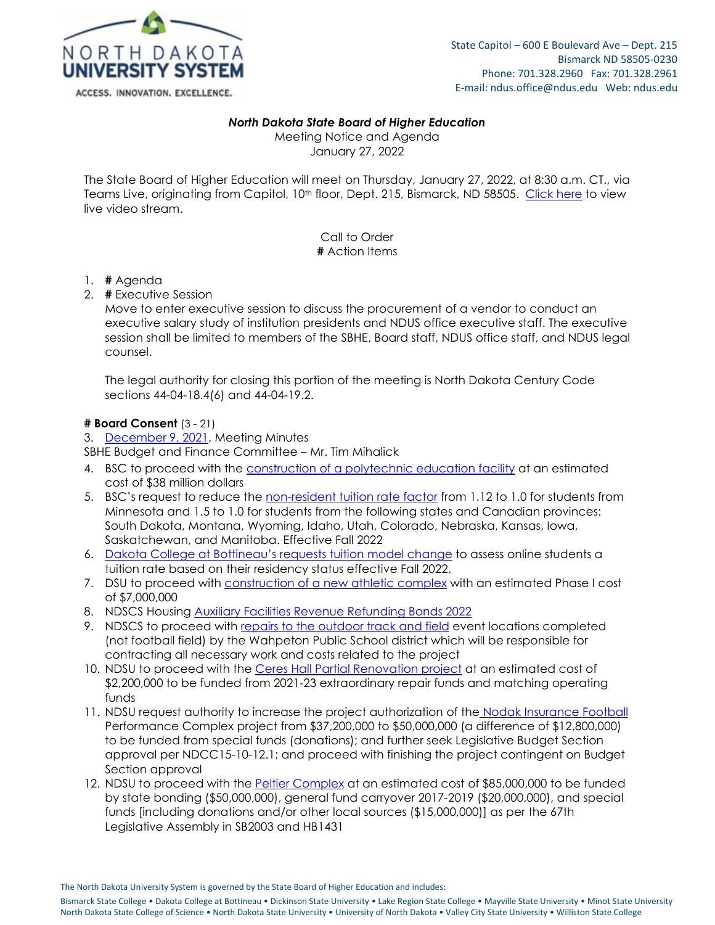

#### *North Dakota State Board of Higher Education*

Meeting Notice and Agenda January 27, 2022

The State Board of Higher Education will meet on Thursday, January 27, 2022, at 8:30 a.m. CT., via Teams Live, originating from Capitol, 10<sup>th</sup> floor, Dept. 215, Bismarck, ND 58505. [Click here](https://teams.microsoft.com/l/meetup-join/19%3ameeting_ZTBiNjAzNjgtMTdkYy00NDM3LTkzMzUtM2I5OGI4MzkwMmQ5%40thread.v2/0?context=%7b%22Tid%22%3a%22ec37a091-b9a6-47e5-98d0-903d4a419203%22%2c%22Oid%22%3a%221489b8b1-b24a-43bf-98e1-e4b6c0baa591%22%2c%22IsBroadcastMeeting%22%3atrue%7d&btype=a&role=a) to view live video stream.

> Call to Order **#** Action Items

- 1. **#** Agenda
- 2. **#** Executive Session

Move to enter executive session to discuss the procurement of a vendor to conduct an executive salary study of institution presidents and NDUS office executive staff. The executive session shall be limited to members of the SBHE, Board staff, NDUS office staff, and NDUS legal counsel.

The legal authority for closing this portion of the meeting is North Dakota Century Code sections 44-04-18.4(6) and 44-04-19.2.

#### **# Board Consent** (3 - 21)

3. [December 9, 2021,](https://ndusbpos.sharepoint.com/:w:/s/NDUSSBHE/EW-JRCIT7vFMqtQba77xG0IBa3-GiAyP9a1SlG-dtxEFNA?e=4tXNBF) Meeting Minutes

SBHE Budget and Finance Committee – Mr. Tim Mihalick

- 4. BSC to proceed with the [construction of a polytechnic education facility](https://ndusbpos.sharepoint.com/:b:/s/NDUSSBHE/EfbfhGeVuyBEsPEfkVBlWjABRZRdL6vLBpw-WT_qIwf4nA?e=fmLJgK) at an estimated cost of \$38 million dollars
- 5. BSC's request to reduce the [non-resident tuition rate factor](https://ndusbpos.sharepoint.com/:b:/s/NDUSSBHE/EcaQqFc_NNBIlf6g3G8U7SQBnFu-WPquARMM-vYWw0yLZg?e=fiTTxk) from 1.12 to 1.0 for students from Minnesota and 1.5 to 1.0 for students from the following states and Canadian provinces: South Dakota, Montana, Wyoming, Idaho, Utah, Colorado, Nebraska, Kansas, Iowa, Saskatchewan, and Manitoba. Effective Fall 2022
- 6. [Dakota College at Bottineau's requests tuition model change](https://ndusbpos.sharepoint.com/:b:/s/NDUSSBHE/EfH0A5i3buZFnozcB59j3DgB92r4AUxmTo1QTMx1SPv5-A?e=9vswfk) to assess online students a tuition rate based on their residency status effective Fall 2022.
- 7. DSU to proceed with [construction of a new athletic complex](https://ndusbpos.sharepoint.com/:b:/s/NDUSSBHE/EeMGSNGVw4NGjQbpwOEPZM8BEC7LHsmlBVio_jguhTdOaA?e=SUURzg) with an estimated Phase I cost of \$7,000,000
- 8. NDSCS Housing [Auxiliary Facilities Revenue Refunding Bonds 2022](https://ndusbpos.sharepoint.com/:b:/s/NDUSSBHE/EQ4jB8JUFDpHjlerbJmDEh8B1OjDtxALfvPOZYEosUn4hQ?e=Ew9tbt)
- 9. NDSCS to proceed with [repairs to the outdoor track and field](https://ndusbpos.sharepoint.com/:b:/s/NDUSSBHE/ES0BMMCOCstAm6F5wFE7EiIBsVqVjIzPDAo5Pe-9dgwrYQ?e=I2qZUH) event locations completed (not football field) by the Wahpeton Public School district which will be responsible for contracting all necessary work and costs related to the project
- 10. NDSU to proceed with the [Ceres Hall Partial Renovation project](https://ndusbpos.sharepoint.com/:b:/s/NDUSSBHE/EZb1n7klaVpCs8GjjCM9gmwB3YUQUM9111efoFXZKmqWBQ?e=9WwzwH) at an estimated cost of \$2,200,000 to be funded from 2021-23 extraordinary repair funds and matching operating funds
- 11. NDSU request authority to increase the project authorization of the [Nodak Insurance Football](https://ndusbpos.sharepoint.com/:b:/s/NDUSSBHE/ES1Mw_8b199Kjpb5wl3znGsBuwPwmihBnMKykigxjdQqXw?e=pNAfuY) Performance Complex project from \$37,200,000 to \$50,000,000 (a difference of \$12,800,000) to be funded from special funds (donations); and further seek Legislative Budget Section approval per NDCC15-10-12.1; and proceed with finishing the project contingent on Budget Section approval
- 12. NDSU to proceed with the [Peltier Complex](https://ndusbpos.sharepoint.com/:b:/s/NDUSSBHE/EaZV_afPgU1IqINMZwZhRZoB22HsOV1qp4qxFhb59mla9Q?e=lE33wm) at an estimated cost of \$85,000,000 to be funded by state bonding (\$50,000,000), general fund carryover 2017-2019 (\$20,000,000), and special funds [including donations and/or other local sources (\$15,000,000)] as per the 67th Legislative Assembly in SB2003 and HB1431

The North Dakota University System is governed by the State Board of Higher Education and includes:

Bismarck State College • Dakota College at Bottineau • Dickinson State University • Lake Region State College • Mayville State University • Minot State University North Dakota State College of Science • North Dakota State University • University of North Dakota • Valley City State University • Williston State College